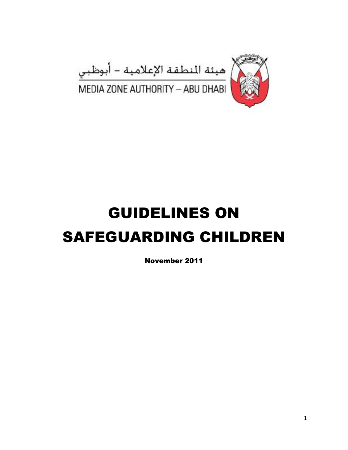

# GUIDELINES ON SAFEGUARDING CHILDREN

November 2011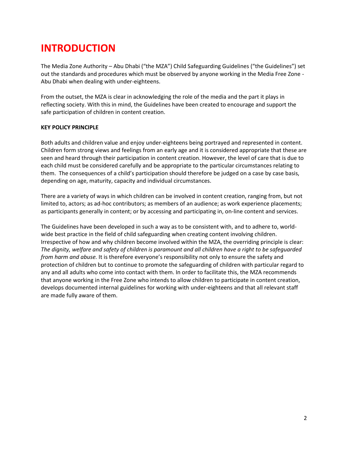## **INTRODUCTION**

The Media Zone Authority – Abu Dhabi ("the MZA") Child Safeguarding Guidelines ("the Guidelines") set out the standards and procedures which must be observed by anyone working in the Media Free Zone - Abu Dhabi when dealing with under-eighteens.

From the outset, the MZA is clear in acknowledging the role of the media and the part it plays in reflecting society. With this in mind, the Guidelines have been created to encourage and support the safe participation of children in content creation.

#### **KEY POLICY PRINCIPLE**

Both adults and children value and enjoy under-eighteens being portrayed and represented in content. Children form strong views and feelings from an early age and it is considered appropriate that these are seen and heard through their participation in content creation. However, the level of care that is due to each child must be considered carefully and be appropriate to the particular circumstances relating to them. The consequences of a child's participation should therefore be judged on a case by case basis, depending on age, maturity, capacity and individual circumstances.

There are a variety of ways in which children can be involved in content creation, ranging from, but not limited to, actors; as ad-hoc contributors; as members of an audience; as work experience placements; as participants generally in content; or by accessing and participating in, on-line content and services.

The Guidelines have been developed in such a way as to be consistent with, and to adhere to, worldwide best practice in the field of child safeguarding when creating content involving children. Irrespective of how and why children become involved within the MZA, the overriding principle is clear: *The dignity, welfare and safety of children is paramount and all children have a right to be safeguarded from harm and abuse.* It is therefore everyone's responsibility not only to ensure the safety and protection of children but to continue to promote the safeguarding of children with particular regard to any and all adults who come into contact with them. In order to facilitate this, the MZA recommends that anyone working in the Free Zone who intends to allow children to participate in content creation, develops documented internal guidelines for working with under-eighteens and that all relevant staff are made fully aware of them.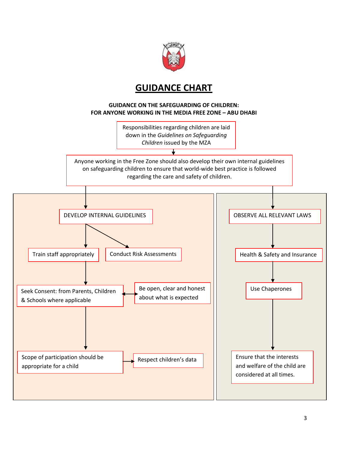

### **GUIDANCE CHART**

#### **GUIDANCE ON THE SAFEGUARDING OF CHILDREN: FOR ANYONE WORKING IN THE MEDIA FREE ZONE – ABU DHABI**

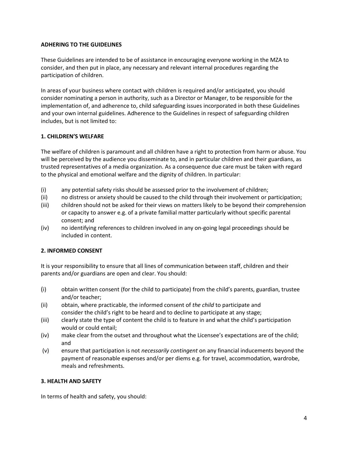#### **ADHERING TO THE GUIDELINES**

These Guidelines are intended to be of assistance in encouraging everyone working in the MZA to consider, and then put in place, any necessary and relevant internal procedures regarding the participation of children.

In areas of your business where contact with children is required and/or anticipated, you should consider nominating a person in authority, such as a Director or Manager, to be responsible for the implementation of, and adherence to, child safeguarding issues incorporated in both these Guidelines and your own internal guidelines. Adherence to the Guidelines in respect of safeguarding children includes, but is not limited to:

#### **1. CHILDREN'S WELFARE**

The welfare of children is paramount and all children have a right to protection from harm or abuse. You will be perceived by the audience you disseminate to, and in particular children and their guardians, as trusted representatives of a media organization. As a consequence due care must be taken with regard to the physical and emotional welfare and the dignity of children. In particular:

- (i) any potential safety risks should be assessed prior to the involvement of children;
- (ii) no distress or anxiety should be caused to the child through their involvement or participation;
- (iii) children should not be asked for their views on matters likely to be beyond their comprehension or capacity to answer e.g. of a private familial matter particularly without specific parental consent; and
- (iv) no identifying references to children involved in any on-going legal proceedings should be included in content.

#### **2. INFORMED CONSENT**

It is your responsibility to ensure that all lines of communication between staff, children and their parents and/or guardians are open and clear. You should:

- (i) obtain written consent (for the child to participate) from the child's parents, guardian, trustee and/or teacher;
- (ii) obtain, where practicable, the informed consent of *the child* to participate and consider the child's right to be heard and to decline to participate at any stage;
- (iii) clearly state the type of content the child is to feature in and what the child's participation would or could entail;
- (iv) make clear from the outset and throughout what the Licensee's expectations are of the child; and
- (v) ensure that participation is not *necessarily contingent* on any financial inducements beyond the payment of reasonable expenses and/or per diems e.g. for travel, accommodation, wardrobe, meals and refreshments.

#### **3. HEALTH AND SAFETY**

In terms of health and safety, you should: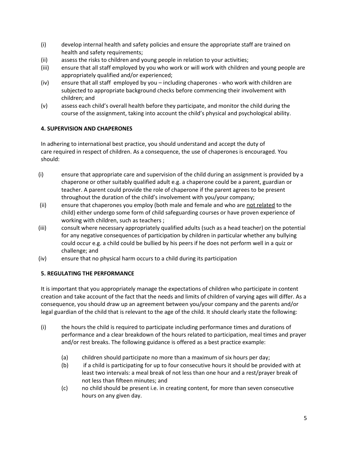- (i) develop internal health and safety policies and ensure the appropriate staff are trained on health and safety requirements;
- (ii) assess the risks to children and young people in relation to your activities;
- (iii) ensure that all staff employed by you who work or will work with children and young people are appropriately qualified and/or experienced;
- (iv) ensure that all staff employed by you including chaperones who work with children are subjected to appropriate background checks before commencing their involvement with children; and
- (v) assess each child's overall health before they participate, and monitor the child during the course of the assignment, taking into account the child's physical and psychological ability.

#### **4. SUPERVISION AND CHAPERONES**

In adhering to international best practice, you should understand and accept the duty of care required in respect of children. As a consequence, the use of chaperones is encouraged. You should:

- (i) ensure that appropriate care and supervision of the child during an assignment is provided by a chaperone or other suitably qualified adult e.g. a chaperone could be a parent, guardian or teacher. A parent could provide the role of chaperone if the parent agrees to be present throughout the duration of the child's involvement with you/your company;
- (ii) ensure that chaperones you employ (both male and female and who are not related to the child) either undergo some form of child safeguarding courses or have proven experience of working with children, such as teachers ;
- (iii) consult where necessary appropriately qualified adults (such as a head teacher) on the potential for any negative consequences of participation by children in particular whether any bullying could occur e.g. a child could be bullied by his peers if he does not perform well in a quiz or challenge; and
- (iv) ensure that no physical harm occurs to a child during its participation

#### **5. REGULATING THE PERFORMANCE**

It is important that you appropriately manage the expectations of children who participate in content creation and take account of the fact that the needs and limits of children of varying ages will differ. As a consequence, you should draw up an agreement between you/your company and the parents and/or legal guardian of the child that is relevant to the age of the child. It should clearly state the following:

- (i) the hours the child is required to participate including performance times and durations of performance and a clear breakdown of the hours related to participation, meal times and prayer and/or rest breaks. The following guidance is offered as a best practice example:
	- (a) children should participate no more than a maximum of six hours per day;
	- (b) if a child is participating for up to four consecutive hours it should be provided with at least two intervals: a meal break of not less than one hour and a rest/prayer break of not less than fifteen minutes; and
	- (c) no child should be present i.e. in creating content, for more than seven consecutive hours on any given day.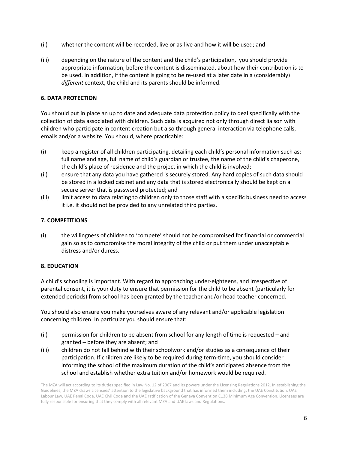- (ii) whether the content will be recorded, live or as-live and how it will be used; and
- (iii) depending on the nature of the content and the child's participation, you should provide appropriate information, before the content is disseminated, about how their contribution is to be used. In addition, if the content is going to be re-used at a later date in a (considerably) *different* context, the child and its parents should be informed.

#### **6. DATA PROTECTION**

You should put in place an up to date and adequate data protection policy to deal specifically with the collection of data associated with children. Such data is acquired not only through direct liaison with children who participate in content creation but also through general interaction via telephone calls, emails and/or a website. You should, where practicable:

- (i) keep a register of all children participating, detailing each child's personal information such as: full name and age, full name of child's guardian or trustee, the name of the child's chaperone, the child's place of residence and the project in which the child is involved;
- (ii) ensure that any data you have gathered is securely stored. Any hard copies of such data should be stored in a locked cabinet and any data that is stored electronically should be kept on a secure server that is password protected; and
- (iii) limit access to data relating to children only to those staff with a specific business need to access it i.e. it should not be provided to any unrelated third parties.

#### **7. COMPETITIONS**

(i) the willingness of children to 'compete' should not be compromised for financial or commercial gain so as to compromise the moral integrity of the child or put them under unacceptable distress and/or duress.

#### **8. EDUCATION**

A child's schooling is important. With regard to approaching under-eighteens, and irrespective of parental consent, it is your duty to ensure that permission for the child to be absent (particularly for extended periods) from school has been granted by the teacher and/or head teacher concerned.

You should also ensure you make yourselves aware of any relevant and/or applicable legislation concerning children. In particular you should ensure that:

- (ii) permission for children to be absent from school for any length of time is requested and granted – before they are absent; and
- (iii) children do not fall behind with their schoolwork and/or studies as a consequence of their participation. If children are likely to be required during term-time, you should consider informing the school of the maximum duration of the child's anticipated absence from the school and establish whether extra tuition and/or homework would be required.

The MZA will act according to its duties specified in Law No. 12 of 2007 and its powers under the Licensing Regulations 2012. In establishing the Guidelines, the MZA draws Licensees' attention to the legislative background that has informed them including: the UAE Constitution, UAE Labour Law, UAE Penal Code, UAE Civil Code and the UAE ratification of the Geneva Convention C138 Minimum Age Convention. Licensees are fully responsible for ensuring that they comply with all relevant MZA and UAE laws and Regulations.